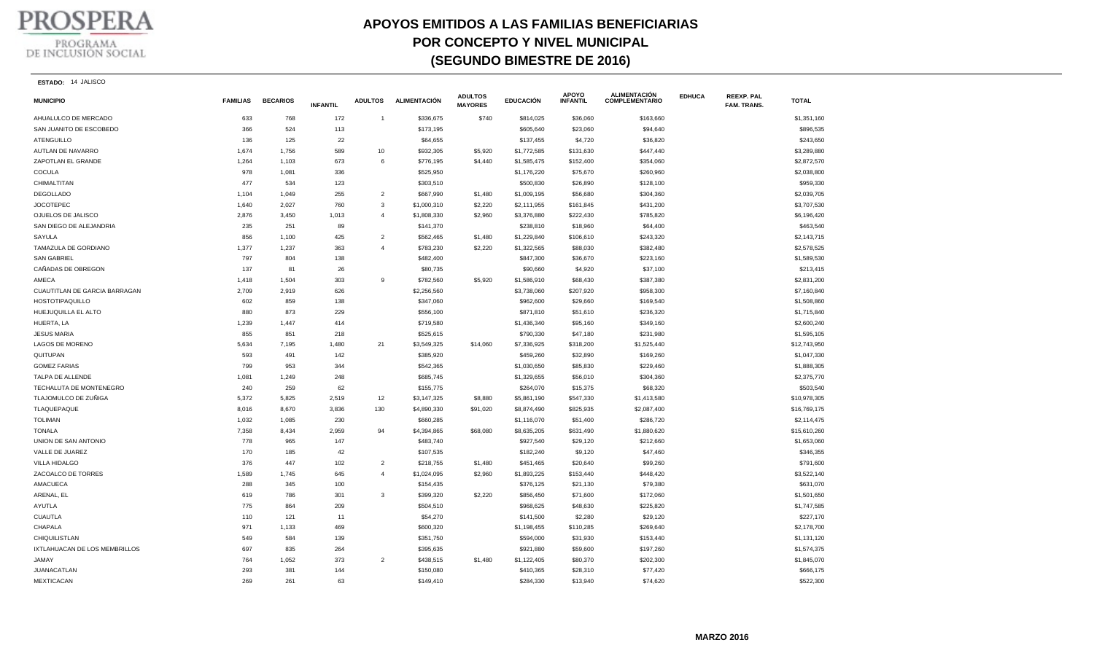

## **APOYOS EMITIDOS A LAS FAMILIAS BENEFICIARIAS POR CONCEPTO Y NIVEL MUNICIPAL (SEGUNDO BIMESTRE DE 2016)**

**ESTADO:** 14 JALISCO

| <b>MUNICIPIO</b>              | <b>FAMILIAS</b> | <b>BECARIOS</b> | <b>INFANTIL</b> | <b>ADULTOS</b> | <b>ALIMENTACIÓN</b> | <b>ADULTOS</b><br><b>MAYORES</b> | <b>EDUCACIÓN</b> | <b>APOYO</b><br><b>INFANTIL</b> | <b>ALIMENTACIÓN</b><br><b>COMPLEMENTARIO</b> | <b>EDHUCA</b> | <b>REEXP. PAL</b><br>FAM. TRANS. | <b>TOTAL</b> |
|-------------------------------|-----------------|-----------------|-----------------|----------------|---------------------|----------------------------------|------------------|---------------------------------|----------------------------------------------|---------------|----------------------------------|--------------|
| AHUALULCO DE MERCADO          | 633             | 768             | 172             | $\mathbf{1}$   | \$336,675           | \$740                            | \$814,025        | \$36,060                        | \$163,660                                    |               |                                  | \$1,351,160  |
| SAN JUANITO DE ESCOBEDO       | 366             | 524             | 113             |                | \$173,195           |                                  | \$605,640        | \$23,060                        | \$94,640                                     |               |                                  | \$896,535    |
| <b>ATENGUILLO</b>             | 136             | 125             | 22              |                | \$64,655            |                                  | \$137,455        | \$4,720                         | \$36,820                                     |               |                                  | \$243,650    |
| AUTLAN DE NAVARRO             | 1,674           | 1,756           | 589             | 10             | \$932,305           | \$5,920                          | \$1,772,585      | \$131,630                       | \$447,440                                    |               |                                  | \$3,289,880  |
| ZAPOTLAN EL GRANDE            | 1,264           | 1,103           | 673             | 6              | \$776,195           | \$4,440                          | \$1,585,475      | \$152,400                       | \$354,060                                    |               |                                  | \$2,872,570  |
| COCULA                        | 978             | 1,081           | 336             |                | \$525,950           |                                  | \$1,176,220      | \$75,670                        | \$260,960                                    |               |                                  | \$2,038,800  |
| CHIMALTITAN                   | 477             | 534             | 123             |                | \$303,510           |                                  | \$500,830        | \$26,890                        | \$128,100                                    |               |                                  | \$959,330    |
| <b>DEGOLLADO</b>              | 1,104           | 1,049           | 255             | $\overline{2}$ | \$667,990           | \$1,480                          | \$1,009,195      | \$56,680                        | \$304,360                                    |               |                                  | \$2,039,705  |
| <b>JOCOTEPEC</b>              | 1,640           | 2,027           | 760             | 3              | \$1,000,310         | \$2,220                          | \$2,111,955      | \$161,845                       | \$431,200                                    |               |                                  | \$3,707,530  |
| OJUELOS DE JALISCO            | 2,876           | 3,450           | 1,013           | $\overline{4}$ | \$1,808,330         | \$2,960                          | \$3,376,880      | \$222,430                       | \$785,820                                    |               |                                  | \$6,196,420  |
| SAN DIEGO DE ALEJANDRIA       | 235             | 251             | 89              |                | \$141,370           |                                  | \$238,810        | \$18,960                        | \$64,400                                     |               |                                  | \$463,540    |
| <b>SAYULA</b>                 | 856             | 1,100           | 425             | $\overline{2}$ | \$562,465           | \$1,480                          | \$1,229,840      | \$106,610                       | \$243,320                                    |               |                                  | \$2,143,715  |
| TAMAZULA DE GORDIANO          | 1,377           | 1,237           | 363             | $\overline{4}$ | \$783,230           | \$2,220                          | \$1,322,565      | \$88,030                        | \$382,480                                    |               |                                  | \$2,578,525  |
| <b>SAN GABRIEL</b>            | 797             | 804             | 138             |                | \$482,400           |                                  | \$847,300        | \$36,670                        | \$223,160                                    |               |                                  | \$1,589,530  |
| CAÑADAS DE OBREGON            | 137             | 81              | 26              |                | \$80,735            |                                  | \$90,660         | \$4,920                         | \$37,100                                     |               |                                  | \$213,415    |
| AMECA                         | 1,418           | 1,504           | 303             | 9              | \$782,560           | \$5,920                          | \$1,586,910      | \$68,430                        | \$387,380                                    |               |                                  | \$2,831,200  |
| CUAUTITLAN DE GARCIA BARRAGAN | 2,709           | 2,919           | 626             |                | \$2,256,560         |                                  | \$3,738,060      | \$207,920                       | \$958,300                                    |               |                                  | \$7,160,840  |
| <b>HOSTOTIPAQUILLO</b>        | 602             | 859             | 138             |                | \$347,060           |                                  | \$962,600        | \$29,660                        | \$169,540                                    |               |                                  | \$1,508,860  |
| HUEJUQUILLA EL ALTO           | 880             | 873             | 229             |                | \$556,100           |                                  | \$871,810        | \$51,610                        | \$236,320                                    |               |                                  | \$1,715,840  |
| HUERTA, LA                    | 1,239           | 1,447           | 414             |                | \$719,580           |                                  | \$1,436,340      | \$95,160                        | \$349,160                                    |               |                                  | \$2,600,240  |
| <b>JESUS MARIA</b>            | 855             | 851             | 218             |                | \$525,615           |                                  | \$790,330        | \$47,180                        | \$231,980                                    |               |                                  | \$1,595,105  |
| LAGOS DE MORENO               | 5,634           | 7,195           | 1,480           | 21             | \$3,549,325         | \$14,060                         | \$7,336,925      | \$318,200                       | \$1,525,440                                  |               |                                  | \$12,743,950 |
| QUITUPAN                      | 593             | 491             | 142             |                | \$385,920           |                                  | \$459,260        | \$32,890                        | \$169,260                                    |               |                                  | \$1,047,330  |
| <b>GOMEZ FARIAS</b>           | 799             | 953             | 344             |                | \$542,365           |                                  | \$1,030,650      | \$85,830                        | \$229,460                                    |               |                                  | \$1,888,305  |
| TALPA DE ALLENDE              | 1,081           | 1,249           | 248             |                | \$685,745           |                                  | \$1,329,655      | \$56,010                        | \$304,360                                    |               |                                  | \$2,375,770  |
| TECHALUTA DE MONTENEGRO       | 240             | 259             | 62              |                | \$155,775           |                                  | \$264,070        | \$15,375                        | \$68,320                                     |               |                                  | \$503,540    |
| TLAJOMULCO DE ZUÑIGA          | 5,372           | 5,825           | 2,519           | 12             | \$3,147,325         | \$8,880                          | \$5,861,190      | \$547,330                       | \$1,413,580                                  |               |                                  | \$10,978,305 |
| TLAQUEPAQUE                   | 8,016           | 8,670           | 3,836           | 130            | \$4,890,330         | \$91,020                         | \$8,874,490      | \$825,935                       | \$2,087,400                                  |               |                                  | \$16,769,175 |
| <b>TOLIMAN</b>                | 1,032           | 1,085           | 230             |                | \$660,285           |                                  | \$1,116,070      | \$51,400                        | \$286,720                                    |               |                                  | \$2,114,475  |
| <b>TONALA</b>                 | 7,358           | 8,434           | 2,959           | 94             | \$4,394,865         | \$68,080                         | \$8,635,205      | \$631,490                       | \$1,880,620                                  |               |                                  | \$15,610,260 |
| UNION DE SAN ANTONIO          | 778             | 965             | 147             |                | \$483,740           |                                  | \$927,540        | \$29,120                        | \$212,660                                    |               |                                  | \$1,653,060  |
| VALLE DE JUAREZ               | 170             | 185             | 42              |                | \$107,535           |                                  | \$182,240        | \$9,120                         | \$47,460                                     |               |                                  | \$346,355    |
| VILLA HIDALGO                 | 376             | 447             | 102             | $\overline{2}$ | \$218,755           | \$1,480                          | \$451,465        | \$20,640                        | \$99,260                                     |               |                                  | \$791,600    |
| ZACOALCO DE TORRES            | 1,589           | 1,745           | 645             | $\overline{4}$ | \$1,024,095         | \$2,960                          | \$1,893,225      | \$153,440                       | \$448,420                                    |               |                                  | \$3,522,140  |
| AMACUECA                      | 288             | 345             | 100             |                | \$154,435           |                                  | \$376,125        | \$21,130                        | \$79,380                                     |               |                                  | \$631,070    |
| ARENAL, EL                    | 619             | 786             | 301             | 3              | \$399,320           | \$2,220                          | \$856,450        | \$71,600                        | \$172,060                                    |               |                                  | \$1,501,650  |
| AYUTLA                        | 775             | 864             | 209             |                | \$504,510           |                                  | \$968,625        | \$48,630                        | \$225,820                                    |               |                                  | \$1,747,585  |
| <b>CUAUTLA</b>                | 110             | 121             | 11              |                | \$54,270            |                                  | \$141,500        | \$2,280                         | \$29,120                                     |               |                                  | \$227,170    |
| CHAPALA                       | 971             | 1,133           | 469             |                | \$600,320           |                                  | \$1,198,455      | \$110,285                       | \$269,640                                    |               |                                  | \$2,178,700  |
| CHIQUILISTLAN                 | 549             | 584             | 139             |                | \$351,750           |                                  | \$594,000        | \$31,930                        | \$153,440                                    |               |                                  | \$1,131,120  |
| IXTLAHUACAN DE LOS MEMBRILLOS | 697             | 835             | 264             |                | \$395,635           |                                  | \$921,880        | \$59,600                        | \$197,260                                    |               |                                  | \$1,574,375  |
| <b>JAMAY</b>                  | 764             | 1,052           | 373             | $\overline{2}$ | \$438,515           | \$1,480                          | \$1,122,405      | \$80,370                        | \$202,300                                    |               |                                  | \$1,845,070  |
| JUANACATLAN                   | 293             | 381             | 144             |                | \$150,080           |                                  | \$410,365        | \$28,310                        | \$77,420                                     |               |                                  | \$666,175    |
| <b>MEXTICACAN</b>             | 269             | 261             | 63              |                | \$149,410           |                                  | \$284,330        | \$13,940                        | \$74,620                                     |               |                                  | \$522,300    |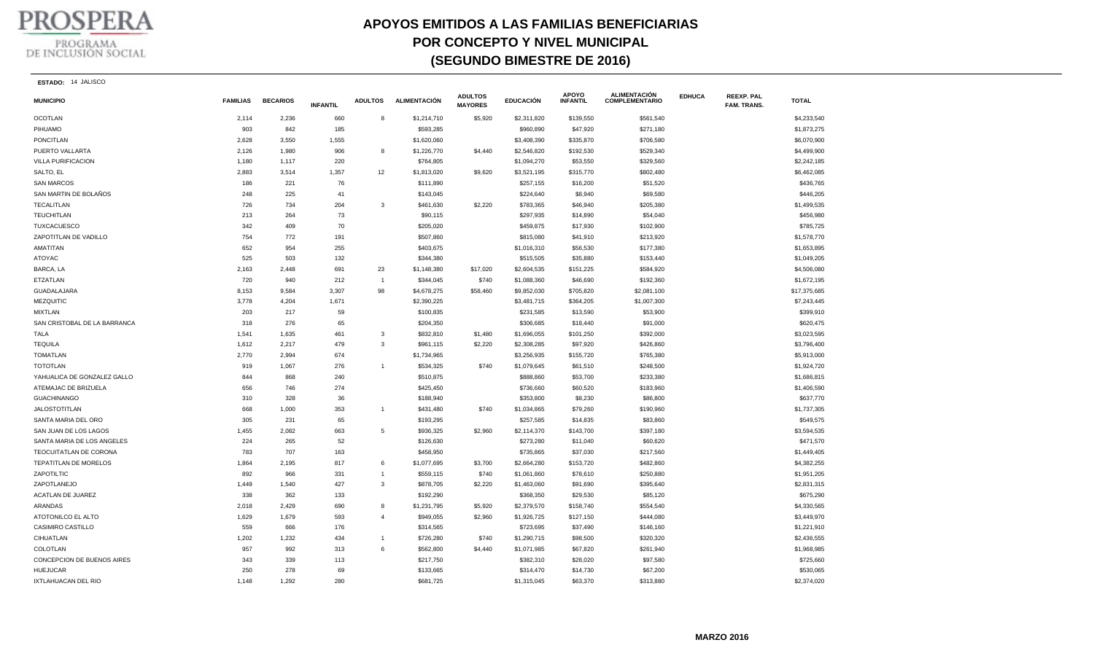**PROSPERA** 

## PROGRAMA<br>DE INCLUSIÓN SOCIAL

## **APOYOS EMITIDOS A LAS FAMILIAS BENEFICIARIAS POR CONCEPTO Y NIVEL MUNICIPAL (SEGUNDO BIMESTRE DE 2016)**

| <b>ESTADO:</b> | 14 JALISCO |  |
|----------------|------------|--|
|----------------|------------|--|

| <b>MUNICIPIO</b>             | <b>FAMILIAS</b> | <b>BECARIOS</b> | <b>INFANTIL</b> | <b>ADULTOS</b> | <b>ALIMENTACIÓN</b> | <b>ADULTOS</b><br><b>MAYORES</b> | <b>EDUCACIÓN</b> | APOYO<br><b>INFANTIL</b> | <b>ALIMENTACIÓN</b><br><b>COMPLEMENTARIO</b> | <b>EDHUCA</b> | <b>REEXP. PAL</b><br><b>FAM. TRANS.</b> | <b>TOTAL</b> |
|------------------------------|-----------------|-----------------|-----------------|----------------|---------------------|----------------------------------|------------------|--------------------------|----------------------------------------------|---------------|-----------------------------------------|--------------|
| <b>OCOTLAN</b>               | 2,114           | 2,236           | 660             | 8              | \$1,214,710         | \$5,920                          | \$2,311,820      | \$139,550                | \$561,540                                    |               |                                         | \$4,233,540  |
| PIHUAMO                      | 903             | 842             | 185             |                | \$593,285           |                                  | \$960,890        | \$47,920                 | \$271,180                                    |               |                                         | \$1,873,275  |
| <b>PONCITLAN</b>             | 2,628           | 3,550           | 1,555           |                | \$1,620,060         |                                  | \$3,408,390      | \$335,870                | \$706,580                                    |               |                                         | \$6,070,900  |
| PUERTO VALLARTA              | 2,126           | 1,980           | 906             | 8              | \$1,226,770         | \$4,440                          | \$2,546,820      | \$192,530                | \$529,340                                    |               |                                         | \$4,499,900  |
| VILLA PURIFICACION           | 1,180           | 1,117           | 220             |                | \$764,805           |                                  | \$1,094,270      | \$53,550                 | \$329,560                                    |               |                                         | \$2,242,185  |
| SALTO, EL                    | 2,883           | 3,514           | 1,357           | 12             | \$1,813,020         | \$9,620                          | \$3,521,195      | \$315,770                | \$802,480                                    |               |                                         | \$6,462,085  |
| <b>SAN MARCOS</b>            | 186             | 221             | 76              |                | \$111,890           |                                  | \$257,155        | \$16,200                 | \$51,520                                     |               |                                         | \$436,765    |
| SAN MARTIN DE BOLAÑOS        | 248             | 225             | 41              |                | \$143,045           |                                  | \$224,640        | \$8,940                  | \$69,580                                     |               |                                         | \$446,205    |
| <b>TECALITLAN</b>            | 726             | 734             | 204             | 3              | \$461,630           | \$2,220                          | \$783,365        | \$46,940                 | \$205,380                                    |               |                                         | \$1,499,535  |
| <b>TEUCHITLAN</b>            | 213             | 264             | 73              |                | \$90,115            |                                  | \$297,935        | \$14,890                 | \$54,040                                     |               |                                         | \$456,980    |
| <b>TUXCACUESCO</b>           | 342             | 409             | 70              |                | \$205,020           |                                  | \$459,875        | \$17,930                 | \$102,900                                    |               |                                         | \$785,725    |
| ZAPOTITLAN DE VADILLO        | 754             | 772             | 191             |                | \$507,860           |                                  | \$815,080        | \$41,910                 | \$213,920                                    |               |                                         | \$1,578,770  |
| AMATITAN                     | 652             | 954             | 255             |                | \$403,675           |                                  | \$1,016,310      | \$56,530                 | \$177,380                                    |               |                                         | \$1,653,895  |
| ATOYAC                       | 525             | 503             | 132             |                | \$344,380           |                                  | \$515,505        | \$35,880                 | \$153,440                                    |               |                                         | \$1,049,205  |
| BARCA, LA                    | 2,163           | 2,448           | 691             | 23             | \$1,148,380         | \$17,020                         | \$2,604,535      | \$151,225                | \$584,920                                    |               |                                         | \$4,506,080  |
| <b>ETZATLAN</b>              | 720             | 940             | 212             | $\overline{1}$ | \$344,045           | \$740                            | \$1,088,360      | \$46,690                 | \$192,360                                    |               |                                         | \$1,672,195  |
| GUADALAJARA                  | 8,153           | 9,584           | 3,307           | 98             | \$4,678,275         | \$58,460                         | \$9,852,030      | \$705,820                | \$2,081,100                                  |               |                                         | \$17,375,685 |
| MEZQUITIC                    | 3,778           | 4,204           | 1,671           |                | \$2,390,225         |                                  | \$3,481,715      | \$364,205                | \$1,007,300                                  |               |                                         | \$7,243,445  |
| <b>MIXTLAN</b>               | 203             | 217             | 59              |                | \$100,835           |                                  | \$231,585        | \$13,590                 | \$53,900                                     |               |                                         | \$399,910    |
| SAN CRISTOBAL DE LA BARRANCA | 318             | 276             | 65              |                | \$204,350           |                                  | \$306,685        | \$18,440                 | \$91,000                                     |               |                                         | \$620,475    |
| <b>TALA</b>                  | 1,541           | 1,635           | 461             | 3              | \$832,810           | \$1,480                          | \$1,696,055      | \$101,250                | \$392,000                                    |               |                                         | \$3,023,595  |
| <b>TEQUILA</b>               | 1,612           | 2,217           | 479             | 3              | \$961,115           | \$2,220                          | \$2,308,285      | \$97,920                 | \$426,860                                    |               |                                         | \$3,796,400  |
| <b>TOMATLAN</b>              | 2,770           | 2,994           | 674             |                | \$1,734,965         |                                  | \$3,256,935      | \$155,720                | \$765,380                                    |               |                                         | \$5,913,000  |
| <b>TOTOTLAN</b>              | 919             | 1,067           | 276             | $\overline{1}$ | \$534,325           | \$740                            | \$1,079,645      | \$61,510                 | \$248,500                                    |               |                                         | \$1,924,720  |
| YAHUALICA DE GONZALEZ GALLO  | 844             | 868             | 240             |                | \$510,875           |                                  | \$888,860        | \$53,700                 | \$233,380                                    |               |                                         | \$1,686,815  |
| ATEMAJAC DE BRIZUELA         | 656             | 746             | 274             |                | \$425,450           |                                  | \$736,660        | \$60,520                 | \$183,960                                    |               |                                         | \$1,406,590  |
| <b>GUACHINANGO</b>           | 310             | 328             | 36              |                | \$188,940           |                                  | \$353,800        | \$8,230                  | \$86,800                                     |               |                                         | \$637,770    |
| <b>JALOSTOTITLAN</b>         | 668             | 1,000           | 353             | $\overline{1}$ | \$431,480           | \$740                            | \$1,034,865      | \$79,260                 | \$190,960                                    |               |                                         | \$1,737,305  |
| SANTA MARIA DEL ORO          | 305             | 231             | 65              |                | \$193,295           |                                  | \$257,585        | \$14,835                 | \$83,860                                     |               |                                         | \$549,575    |
| SAN JUAN DE LOS LAGOS        | 1,455           | 2,082           | 663             | 5              | \$936,325           | \$2,960                          | \$2,114,370      | \$143,700                | \$397,180                                    |               |                                         | \$3,594,535  |
| SANTA MARIA DE LOS ANGELES   | 224             | 265             | 52              |                | \$126,630           |                                  | \$273,280        | \$11,040                 | \$60,620                                     |               |                                         | \$471,570    |
| TEOCUITATLAN DE CORONA       | 783             | 707             | 163             |                | \$458,950           |                                  | \$735,865        | \$37,030                 | \$217,560                                    |               |                                         | \$1,449,405  |
| TEPATITLAN DE MORELOS        | 1,864           | 2,195           | 817             | 6              | \$1,077,695         | \$3,700                          | \$2,664,280      | \$153,720                | \$482,860                                    |               |                                         | \$4,382,255  |
| ZAPOTILTIC                   | 892             | 966             | 331             | $\overline{1}$ | \$559,115           | \$740                            | \$1,061,860      | \$78,610                 | \$250,880                                    |               |                                         | \$1,951,205  |
| ZAPOTLANEJO                  | 1,449           | 1,540           | 427             | $\mathbf{3}$   | \$878,705           | \$2,220                          | \$1,463,060      | \$91,690                 | \$395,640                                    |               |                                         | \$2,831,315  |
| ACATLAN DE JUAREZ            | 338             | 362             | 133             |                | \$192,290           |                                  | \$368,350        | \$29,530                 | \$85,120                                     |               |                                         | \$675,290    |
| ARANDAS                      | 2,018           | 2,429           | 690             | 8              | \$1,231,795         | \$5,920                          | \$2,379,570      | \$158,740                | \$554,540                                    |               |                                         | \$4,330,565  |
| ATOTONILCO EL ALTO           | 1,629           | 1,679           | 593             | $\overline{4}$ | \$949,055           | \$2,960                          | \$1,926,725      | \$127,150                | \$444,080                                    |               |                                         | \$3,449,970  |
| <b>CASIMIRO CASTILLO</b>     | 559             | 666             | 176             |                | \$314,565           |                                  | \$723,695        | \$37,490                 | \$146,160                                    |               |                                         | \$1,221,910  |
| CIHUATLAN                    | 1,202           | 1,232           | 434             | $\overline{1}$ | \$726,280           | \$740                            | \$1,290,715      | \$98,500                 | \$320,320                                    |               |                                         | \$2,436,555  |
| COLOTLAN                     | 957             | 992             | 313             | 6              | \$562,800           | \$4,440                          | \$1,071,985      | \$67,820                 | \$261,940                                    |               |                                         | \$1,968,985  |
| CONCEPCION DE BUENOS AIRES   | 343             | 339             | 113             |                | \$217,750           |                                  | \$382,310        | \$28,020                 | \$97,580                                     |               |                                         | \$725,660    |
| <b>HUEJUCAR</b>              | 250             | 278             | 69              |                | \$133,665           |                                  | \$314,470        | \$14,730                 | \$67,200                                     |               |                                         | \$530,065    |
| IXTLAHUACAN DEL RIO          | 1,148           | 1,292           | 280             |                | \$681,725           |                                  | \$1,315,045      | \$63,370                 | \$313,880                                    |               |                                         | \$2,374,020  |
|                              |                 |                 |                 |                |                     |                                  |                  |                          |                                              |               |                                         |              |